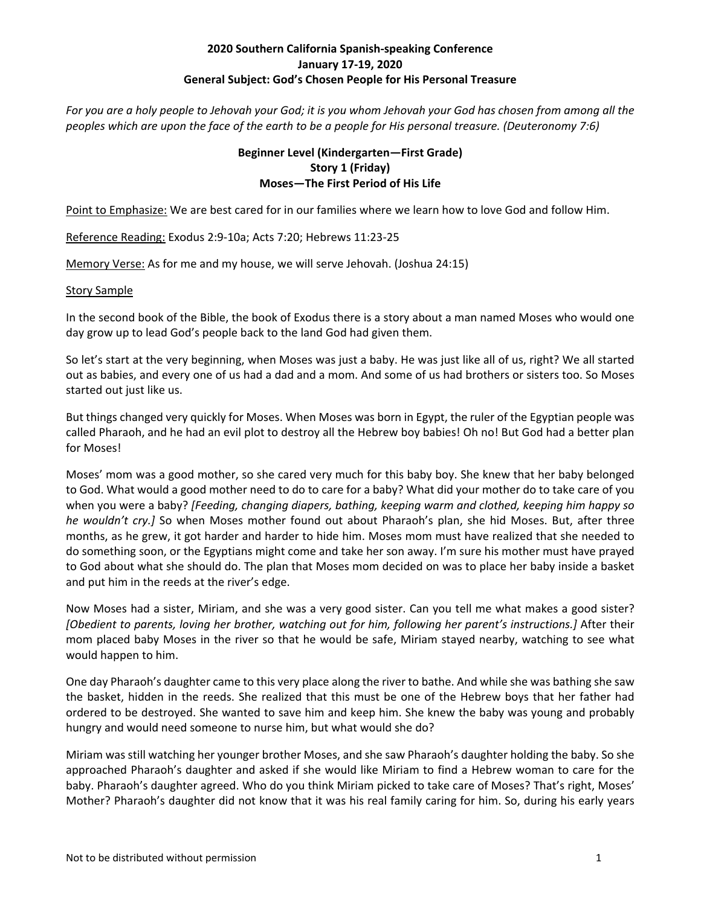## **2020 Southern California Spanish‐speaking Conference January 17‐19, 2020 General Subject: God's Chosen People for His Personal Treasure**

*For you are a holy people to Jehovah your God; it is you whom Jehovah your God has chosen from among all the peoples which are upon the face of the earth to be a people for His personal treasure. (Deuteronomy 7:6)* 

#### **Beginner Level (Kindergarten—First Grade) Story 1 (Friday) Moses—The First Period of His Life**

Point to Emphasize: We are best cared for in our families where we learn how to love God and follow Him.

Reference Reading: Exodus 2:9‐10a; Acts 7:20; Hebrews 11:23‐25

Memory Verse: As for me and my house, we will serve Jehovah. (Joshua 24:15)

#### Story Sample

In the second book of the Bible, the book of Exodus there is a story about a man named Moses who would one day grow up to lead God's people back to the land God had given them.

So let's start at the very beginning, when Moses was just a baby. He was just like all of us, right? We all started out as babies, and every one of us had a dad and a mom. And some of us had brothers or sisters too. So Moses started out just like us.

But things changed very quickly for Moses. When Moses was born in Egypt, the ruler of the Egyptian people was called Pharaoh, and he had an evil plot to destroy all the Hebrew boy babies! Oh no! But God had a better plan for Moses!

Moses' mom was a good mother, so she cared very much for this baby boy. She knew that her baby belonged to God. What would a good mother need to do to care for a baby? What did your mother do to take care of you when you were a baby? *[Feeding, changing diapers, bathing, keeping warm and clothed, keeping him happy so he wouldn't cry.]*  So when Moses mother found out about Pharaoh's plan, she hid Moses. But, after three months, as he grew, it got harder and harder to hide him. Moses mom must have realized that she needed to do something soon, or the Egyptians might come and take her son away. I'm sure his mother must have prayed to God about what she should do. The plan that Moses mom decided on was to place her baby inside a basket and put him in the reeds at the river's edge.

Now Moses had a sister, Miriam, and she was a very good sister. Can you tell me what makes a good sister? *[Obedient to parents, loving her brother, watching out for him, following her parent's instructions.]* After their mom placed baby Moses in the river so that he would be safe, Miriam stayed nearby, watching to see what would happen to him.

One day Pharaoh's daughter came to this very place along the river to bathe. And while she was bathing she saw the basket, hidden in the reeds. She realized that this must be one of the Hebrew boys that her father had ordered to be destroyed. She wanted to save him and keep him. She knew the baby was young and probably hungry and would need someone to nurse him, but what would she do?

Miriam was still watching her younger brother Moses, and she saw Pharaoh's daughter holding the baby. So she approached Pharaoh's daughter and asked if she would like Miriam to find a Hebrew woman to care for the baby. Pharaoh's daughter agreed. Who do you think Miriam picked to take care of Moses? That's right, Moses' Mother? Pharaoh's daughter did not know that it was his real family caring for him. So, during his early years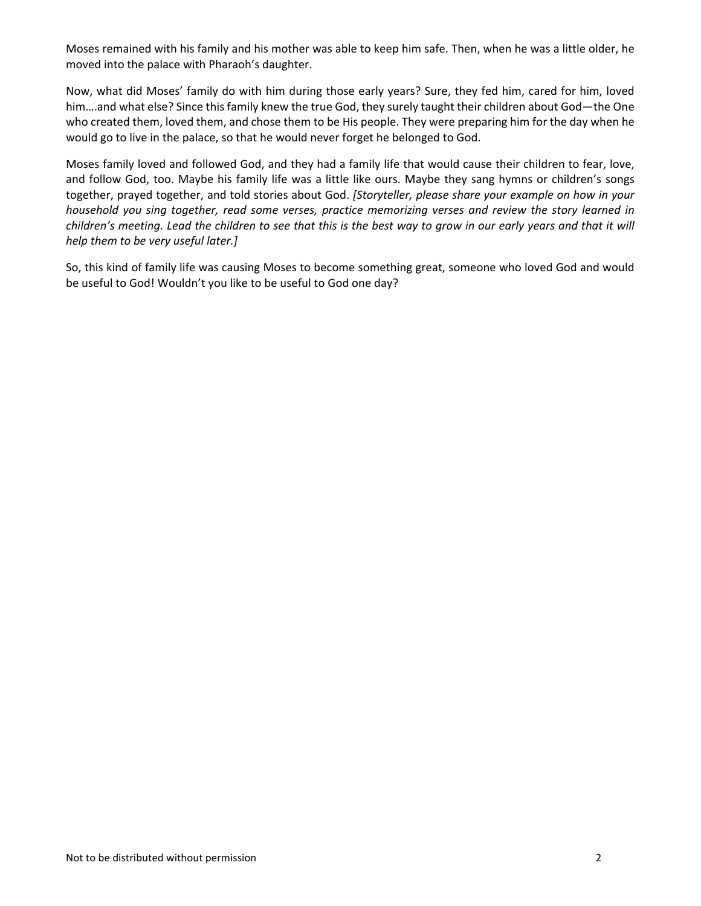Moses remained with his family and his mother was able to keep him safe. Then, when he was a little older, he moved into the palace with Pharaoh's daughter.

Now, what did Moses' family do with him during those early years? Sure, they fed him, cared for him, loved him….and what else? Since this family knew the true God, they surely taught their children about God—the One who created them, loved them, and chose them to be His people. They were preparing him for the day when he would go to live in the palace, so that he would never forget he belonged to God.

Moses family loved and followed God, and they had a family life that would cause their children to fear, love, and follow God, too. Maybe his family life was a little like ours. Maybe they sang hymns or children's songs together, prayed together, and told stories about God. *[Storyteller, please share your example on how in your household you sing together, read some verses, practice memorizing verses and review the story learned in children's meeting. Lead the children to see that this is the best way to grow in our early years and that it will help them to be very useful later.]*

So, this kind of family life was causing Moses to become something great, someone who loved God and would be useful to God! Wouldn't you like to be useful to God one day?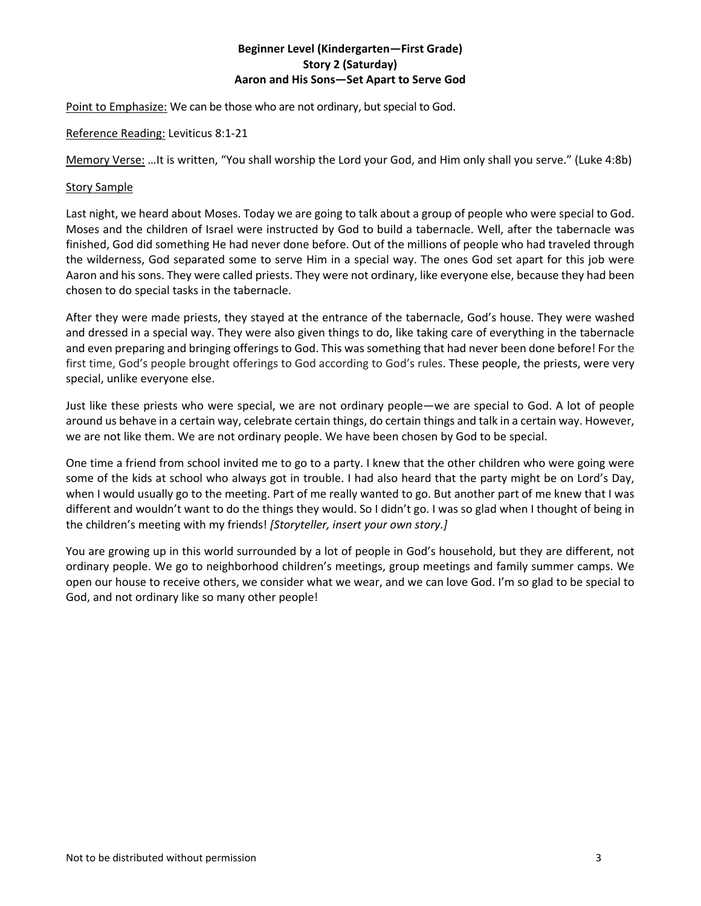# **Beginner Level (Kindergarten—First Grade) Story 2 (Saturday) Aaron and His Sons—Set Apart to Serve God**

Point to Emphasize: We can be those who are not ordinary, but special to God.

Reference Reading: Leviticus 8:1‐21

Memory Verse: …It is written, "You shall worship the Lord your God, and Him only shall you serve." (Luke 4:8b)

#### Story Sample

Last night, we heard about Moses. Today we are going to talk about a group of people who were special to God. Moses and the children of Israel were instructed by God to build a tabernacle. Well, after the tabernacle was finished, God did something He had never done before. Out of the millions of people who had traveled through the wilderness, God separated some to serve Him in a special way. The ones God set apart for this job were Aaron and his sons. They were called priests. They were not ordinary, like everyone else, because they had been chosen to do special tasks in the tabernacle.

After they were made priests, they stayed at the entrance of the tabernacle, God's house. They were washed and dressed in a special way. They were also given things to do, like taking care of everything in the tabernacle and even preparing and bringing offerings to God. This was something that had never been done before! For the first time, God's people brought offerings to God according to God's rules. These people, the priests, were very special, unlike everyone else.

Just like these priests who were special, we are not ordinary people—we are special to God. A lot of people around us behave in a certain way, celebrate certain things, do certain things and talk in a certain way. However, we are not like them. We are not ordinary people. We have been chosen by God to be special.

One time a friend from school invited me to go to a party. I knew that the other children who were going were some of the kids at school who always got in trouble. I had also heard that the party might be on Lord's Day, when I would usually go to the meeting. Part of me really wanted to go. But another part of me knew that I was different and wouldn't want to do the things they would. So I didn't go. I was so glad when I thought of being in the children's meeting with my friends! *[Storyteller, insert your own story.]* 

You are growing up in this world surrounded by a lot of people in God's household, but they are different, not ordinary people. We go to neighborhood children's meetings, group meetings and family summer camps. We open our house to receive others, we consider what we wear, and we can love God. I'm so glad to be special to God, and not ordinary like so many other people!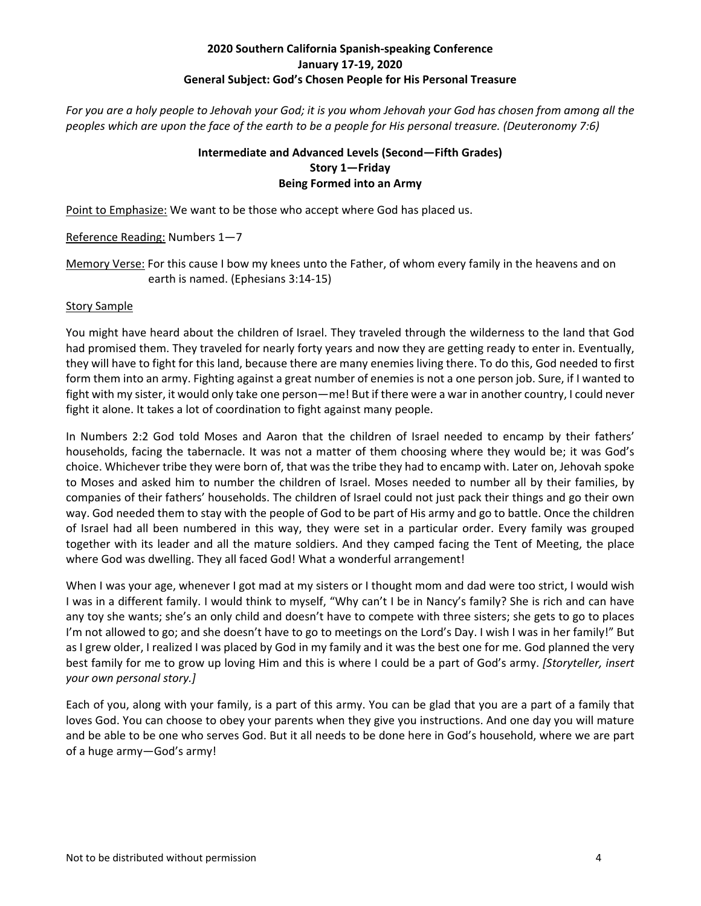# **2020 Southern California Spanish‐speaking Conference January 17‐19, 2020 General Subject: God's Chosen People for His Personal Treasure**

*For you are a holy people to Jehovah your God; it is you whom Jehovah your God has chosen from among all the peoples which are upon the face of the earth to be a people for His personal treasure. (Deuteronomy 7:6)* 

# **Intermediate and Advanced Levels (Second—Fifth Grades) Story 1—Friday Being Formed into an Army**

Point to Emphasize: We want to be those who accept where God has placed us.

Reference Reading: Numbers 1—7

Memory Verse: For this cause I bow my knees unto the Father, of whom every family in the heavens and on earth is named. (Ephesians 3:14‐15)

# Story Sample

You might have heard about the children of Israel. They traveled through the wilderness to the land that God had promised them. They traveled for nearly forty years and now they are getting ready to enter in. Eventually, they will have to fight for this land, because there are many enemies living there. To do this, God needed to first form them into an army. Fighting against a great number of enemies is not a one person job. Sure, if I wanted to fight with my sister, it would only take one person—me! But if there were a war in another country, I could never fight it alone. It takes a lot of coordination to fight against many people.

In Numbers 2:2 God told Moses and Aaron that the children of Israel needed to encamp by their fathers' households, facing the tabernacle. It was not a matter of them choosing where they would be; it was God's choice. Whichever tribe they were born of, that was the tribe they had to encamp with. Later on, Jehovah spoke to Moses and asked him to number the children of Israel. Moses needed to number all by their families, by companies of their fathers' households. The children of Israel could not just pack their things and go their own way. God needed them to stay with the people of God to be part of His army and go to battle. Once the children of Israel had all been numbered in this way, they were set in a particular order. Every family was grouped together with its leader and all the mature soldiers. And they camped facing the Tent of Meeting, the place where God was dwelling. They all faced God! What a wonderful arrangement!

When I was your age, whenever I got mad at my sisters or I thought mom and dad were too strict, I would wish I was in a different family. I would think to myself, "Why can't I be in Nancy's family? She is rich and can have any toy she wants; she's an only child and doesn't have to compete with three sisters; she gets to go to places I'm not allowed to go; and she doesn't have to go to meetings on the Lord's Day. I wish I was in her family!" But as I grew older, I realized I was placed by God in my family and it was the best one for me. God planned the very best family for me to grow up loving Him and this is where I could be a part of God's army. *[Storyteller, insert your own personal story.]*

Each of you, along with your family, is a part of this army. You can be glad that you are a part of a family that loves God. You can choose to obey your parents when they give you instructions. And one day you will mature and be able to be one who serves God. But it all needs to be done here in God's household, where we are part of a huge army—God's army!